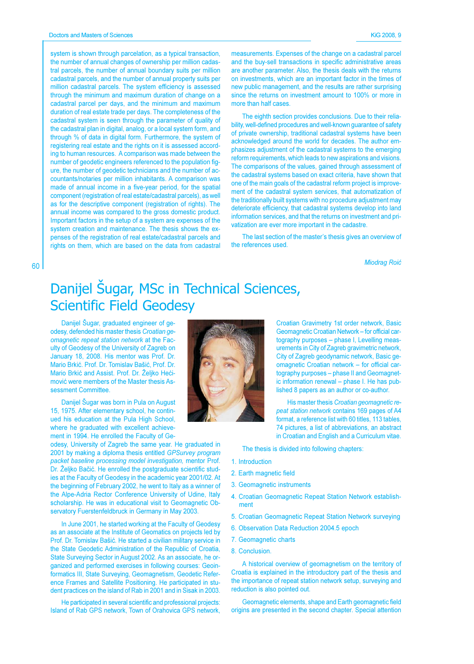system is shown through parcelation, as a typical transaction, the number of annual changes of ownership per million cadastral parcels, the number of annual boundary suits per million cadastral parcels, and the number of annual property suits per million cadastral parcels. The system efficiency is assessed through the minimum and maximum duration of change on a cadastral parcel per days, and the minimum and maximum duration of real estate trade per days. The completeness of the cadastral system is seen through the parameter of quality of the cadastral plan in digital, analog, or a local system form, and through % of data in digital form. Furthermore, the system of registering real estate and the rights on it is assessed according to human resources. A comparison was made between the number of geodetic engineers referenced to the population figure, the number of geodetic technicians and the number of accountants/notaries per million inhabitants. A comparison was made of annual income in a five-year period, for the spatial component (registration of real estate/cadastral parcels), as well as for the descriptive component (registration of rights). The annual income was compared to the gross domestic product. Important factors in the setup of a system are expenses of the system creation and maintenance. The thesis shows the expenses of the registration of real estate/cadastral parcels and rights on them, which are based on the data from cadastral

measurements. Expenses of the change on a cadastral parcel and the buy-sell transactions in specific administrative areas are another parameter. Also, the thesis deals with the returns on investments, which are an important factor in the times of new public management, and the results are rather surprising since the returns on investment amount to 100% or more in more than half cases.

The eighth section provides conclusions. Due to their reliability, well-defined procedures and well-known quarantee of safety of private ownership, traditional cadastral systems have been acknowledged around the world for decades. The author emphasizes adjustment of the cadastral systems to the emerging reform requirements, which leads to new aspirations and visions. The comparisons of the values, gained through assessment of the cadastral systems based on exact criteria, have shown that one of the main goals of the cadastral reform project is improvement of the cadastral system services, that automatization of the traditionally built systems with no procedure adjustment may deteriorate efficiency, that cadastral systems develop into land information services, and that the returns on investment and privatization are ever more important in the cadastre.

The last section of the master's thesis gives an overview of the references used.

**Miodrag Roić** 

## Danijel Šugar, MSc in Technical Sciences, **Scientific Field Geodesy**

Danijel Šugar, graduated engineer of geodesy, defended his master thesis Croatian geomagnetic repeat station network at the Faculty of Geodesy of the University of Zagreb on January 18, 2008. His mentor was Prof. Dr. Mario Brkić. Prof. Dr. Tomislav Bašić, Prof. Dr. Mario Brkić and Assist. Prof. Dr. Željko Hećimović were members of the Master thesis Assessment Committee.

60

Danijel Šugar was born in Pula on August 15, 1975. After elementary school, he continued his education at the Pula High School, where he graduated with excellent achievement in 1994. He enrolled the Faculty of Ge-

odesy, University of Zagreb the same year. He graduated in 2001 by making a diploma thesis entitled GPSurvey program packet baseline processing model investigation, mentor Prof. Dr. Želiko Bačić. He enrolled the postgraduate scientific studies at the Faculty of Geodesy in the academic year 2001/02. At the beginning of February 2002, he went to Italy as a winner of the Alpe-Adria Rector Conference University of Udine, Italy scholarship. He was in educational visit to Geomagnetic Observatory Fuerstenfeldbruck in Germany in May 2003.

In June 2001, he started working at the Faculty of Geodesy as an associate at the Institute of Geomatics on projects led by Prof. Dr. Tomislav Bašić. He started a civilian military service in the State Geodetic Administration of the Republic of Croatia, State Surveying Sector in August 2002. As an associate, he organized and performed exercises in following courses: Geoinformatics III, State Surveying, Geomagnetism, Geodetic Reference Frames and Satellite Positioning. He participated in student practices on the island of Rab in 2001 and in Sisak in 2003.

He participated in several scientific and professional projects: Island of Rab GPS network, Town of Orahovica GPS network,



Croatian Gravimetry 1st order network, Basic Geomagnetic Croatian Network - for official cartography purposes - phase I, Levelling measurements in City of Zagreb gravimetric network, City of Zagreb geodynamic network, Basic geomagnetic Croatian network - for official cartography purposes - phase II and Geomagnetic information renewal - phase I. He has published 8 papers as an author or co-author.

His master thesis Croatian geomagnetic repeat station network contains 169 pages of A4 format, a reference list with 60 titles, 113 tables, 74 pictures, a list of abbreviations, an abstract in Croatian and English and a Curriculum vitae.

The thesis is divided into following chapters:

- 1. Introduction
- 2. Earth magnetic field
- 3. Geomagnetic instruments
- 4. Croatian Geomagnetic Repeat Station Network establishment
- 5. Croatian Geomagnetic Repeat Station Network surveying
- 6. Observation Data Reduction 2004.5 epoch
- 7. Geomagnetic charts
- 8. Conclusion.

A historical overview of geomagnetism on the territory of Croatia is explained in the introductory part of the thesis and the importance of repeat station network setup, surveying and reduction is also pointed out.

Geomagnetic elements, shape and Earth geomagnetic field origins are presented in the second chapter. Special attention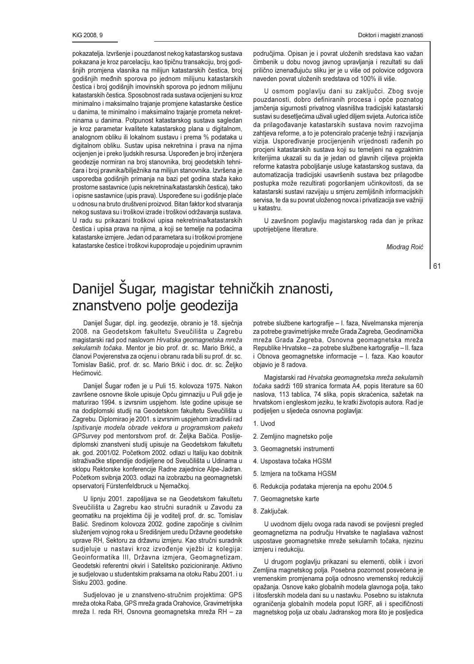pokazatelja. Izvršenje i pouzdanost nekog katastarskog sustava pokazana je kroz parcelaciju, kao tipičnu transakciju, broj godišnjih promjena vlasnika na milijun katastarskih čestica, broj godišnjih međnih sporova po jednom milijunu katastarskih čestica i broj godišnjih imovinskih sporova po jednom milijunu katastarskih čestica. Sposobnost rada sustava ocijenjeni su kroz minimalno i maksimalno trajanje promjene katastarske čestice u danima, te minimalno i maksimalno trajanje prometa nekretninama u danima. Potpunost katastarskog sustava sagledan ie kroz parametar kvalitete katastarskog plana u digitalnom, analognom obliku ili lokalnom sustavu i prema % podataka u digitalnom obliku. Sustav upisa nekretnina i prava na njima ocijenjen je i preko ljudskih resursa. Uspoređen je broj inženjera geodezije normiran na broj stanovnika, broj geodetskih tehničara i broj pravnika/bilježnika na milijun stanovnika. Izvršena je usporedba godišnjih primanja na bazi pet godina staža kako prostorne sastavnice (upis nekretnina/katastarskih čestica), tako i opisne sastavnice (upis prava). Uspoređene su i godišnje plaće u odnosu na bruto društveni proizvod. Bitan faktor kod stvaranja nekog sustava su i troškovi izrade i troškovi održavanja sustava. U radu su prikazani troškovi upisa nekretnina/katastarskih čestica i upisa prava na njima, a koji se temelje na podacima katastarske izmjere. Jedan od parametara su i troškovi promjene katastarske čestice i troškovi kupoprodaje u pojedinim upravnim područjima. Opisan je i povrat uloženih sredstava kao važan čimbenik u dobu novog javnog upravljanja i rezultati su dali prilično iznenađujuću sliku jer je u više od polovice odgovora naveden povrat uloženih sredstava od 100% ili više.

U osmom poglavlju dani su zaključci. Zbog svoje pouzdanosti, dobro definiranih procesa i opće poznatog jamčenja sigurnosti privatnog vlasništva tradicijski katastarski sustavi su desetljećima uživali ugled diljem svijeta. Autorica ističe da prilagođavanje katastarskih sustava novim razvojima zahtjeva reforme, a to je potenciralo praćenie težnii i razvijania vizija. Uspoređivanje procijenjenih vrijednosti rađenih po procjeni katastarskih sustava koji su temeljeni na egzaktnim kriterijima ukazali su da je jedan od glavnih ciljeva projekta reforme katastra poboljšanje usluge katastarskog sustava, da automatizacija tradicijski usavršenih sustava bez prilagodbe postupka može rezultirati pogoršanjem učinkovitosti, da se katastarski sustavi razvijaju u smjeru zemljišnih informacijskih servisa, te da su povrat uloženog novca i privatizacija sve važniji u katastru.

U završnom poglavlju magistarskog rada dan je prikaz upotrijebljene literature.

Miodrag Roić

61

## Danijel Šugar, magistar tehničkih znanosti, znanstveno polje geodezija

Danijel Šugar, dipl. ing. geodezije, obranio je 18. siječnja 2008. na Geodetskom fakultetu Sveučilišta u Zagrebu magistarski rad pod naslovom Hrvatska geomagnetska mreža sekularnih točaka. Mentor je bio prof. dr. sc. Mario Brkić, a članovi Povjerenstva za ocjenu i obranu rada bili su prof. dr. sc. Tomislav Bašić, prof. dr. sc. Mario Brkić i doc. dr. sc. Željko Hećimović.

Danijel Šugar rođen je u Puli 15. kolovoza 1975. Nakon završene osnovne škole upisuje Opću gimnaziju u Puli gdje je maturirao 1994. s izvrsnim uspjehom. Iste godine upisuje se na dodiplomski studij na Geodetskom fakultetu Sveučilišta u Zagrebu. Diplomirao je 2001. s izvrsnim uspjehom izradivši rad Ispitivanje modela obrade vektora u programskom paketu GPSurvey pod mentorstvom prof. dr. Željka Bačića. Poslijediplomski znanstveni studij upisuje na Geodetskom fakultetu ak. god. 2001/02. Početkom 2002. odlazi u Italiju kao dobitnik istraživačke stipendije dodijeljene od Sveučilišta u Udinama u sklopu Rektorske konferencije Radne zajednice Alpe-Jadran. Početkom svibnja 2003. odlazi na izobrazbu na geomagnetski opservatorij Fürstenfeldbruck u Njemačkoj.

U lipnju 2001. zapošljava se na Geodetskom fakultetu Sveučilišta u Zagrebu kao stručni suradnik u Zavodu za geomatiku na projektima čiji je voditelj prof. dr. sc. Tomislav Bašić. Sredinom kolovoza 2002. godine započinje s civilnim služenjem vojnog roka u Središnjem uredu Državne geodetske uprave RH, Sektoru za državnu izmjeru. Kao stručni suradnik sudjeluje u nastavi kroz izvođenje vježbi iz kolegija: Geoinformatika III, Državna izmjera, Geomagnetizam, Geodetski referentni okviri i Satelitsko pozicioniranje. Aktivno je sudjelovao u studentskim praksama na otoku Rabu 2001. i u Sisku 2003. godine.

Sudjelovao je u znanstveno-stručnim projektima: GPS mreža otoka Raba, GPS mreža grada Orahovice, Gravimetrijska mreža I. reda RH, Osnovna geomagnetska mreža RH - za potrebe službene kartografije - I. faza, Nivelmanska mjerenja za potrebe gravimetrijske mreže Grada Zagreba, Geodinamička mreža Grada Zagreba, Osnovna geomagnetska mreža Republike Hrvatske - za potrebe službene kartografije - II. faza i Obnova geomagnetske informacije - I. faza. Kao koautor objavio je 8 radova.

Magistarski rad Hrvatska geomagnetska mreža sekularnih točaka sadrži 169 stranica formata A4, popis literature sa 60 naslova, 113 tablica, 74 slika, popis skraćenica, sažetak na hrvatskom i engleskom jeziku, te kratki životopis autora. Rad je podijeljen u sljedeća osnovna poglavlja:

- 1. Uvod
- 2. Zemljino magnetsko polje
- 3. Geomagnetski instrumenti
- 4. Uspostava točaka HGSM
- 5. Izmjera na točkama HGSM
- 6. Redukcija podataka mjerenja na epohu 2004.5
- 7. Geomagnetske karte
- 8. Zaključak.

U uvodnom dijelu ovoga rada navodi se povijesni pregled geomagnetizma na području Hrvatske te naglašava važnost uspostave geomagnetske mreže sekularnih točaka, njezinu izmjeru i redukciju.

U drugom poglavlju prikazani su elementi, oblik i izvori Zemljina magnetskog polja. Posebna pozornost posvećena je vremenskim promjenama polja odnosno vremenskoj redukciji opažanja. Osnove kako globalnih modela glavnoga polja, tako i litosferskih modela dani su u nastavku. Posebno su istaknuta ograničenja globalnih modela poput IGRF, ali i specifičnosti magnetskog polja uz obalu Jadranskog mora što je posljedica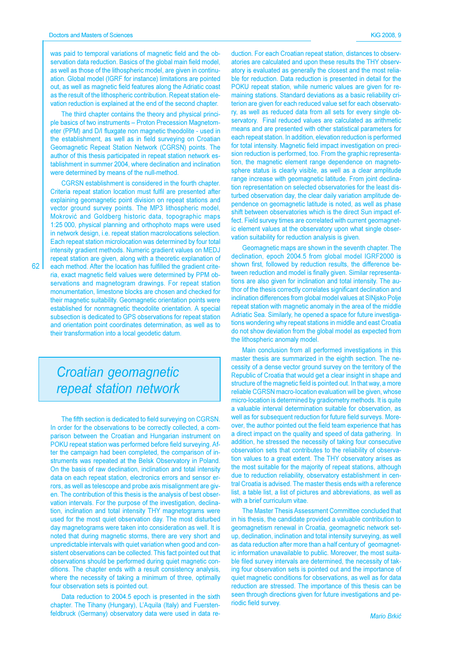was paid to temporal variations of magnetic field and the observation data reduction. Basics of the global main field model, as well as those of the lithospheric model, are given in continuation. Global model (IGRF for instance) limitations are pointed out, as well as magnetic field features along the Adriatic coast as the result of the lithospheric contribution. Repeat station elevation reduction is explained at the end of the second chapter.

The third chapter contains the theory and physical principle basics of two instruments - Proton Precession Magnetometer (PPM) and D/I fluxgate non magnetic theodolite - used in the establishment, as well as in field surveying on Croatian Geomagnetic Repeat Station Network (CGRSN) points. The author of this thesis participated in repeat station network establishment in summer 2004, where declination and inclination were determined by means of the null-method.

CGRSN establishment is considered in the fourth chapter. Criteria repeat station location must fulfil are presented after explaining geomagnetic point division on repeat stations and vector ground survey points. The MP3 lithospheric model, Mokrović and Goldberg historic data, topographic maps 1:25 000, physical planning and orthophoto maps were used in network design, i.e. repeat station macrolocations selection. Each repeat station microlocation was determined by four total intensity gradient methods. Numeric gradient values on MEDJ repeat station are given, along with a theoretic explanation of each method. After the location has fulfilled the gradient criteria, exact magnetic field values were determined by PPM observations and magnetogram drawings. For repeat station monumentation, limestone blocks are chosen and checked for their magnetic suitability. Geomagnetic orientation points were established for nonmagnetic theodolite orientation. A special subsection is dedicated to GPS observations for repeat station and orientation point coordinates determination, as well as to their transformation into a local geodetic datum.

## Croatian geomagnetic repeat station network

The fifth section is dedicated to field surveying on CGRSN. In order for the observations to be correctly collected, a comparison between the Croatian and Hungarian instrument on POKU repeat station was performed before field surveying. After the campaign had been completed, the comparison of instruments was repeated at the Belsk Observatory in Poland. On the basis of raw declination, inclination and total intensity data on each repeat station, electronics errors and sensor errors, as well as telescope and probe axis misalignment are given. The contribution of this thesis is the analysis of best observation intervals. For the purpose of the investigation, declination, inclination and total intensity THY magnetograms were used for the most quiet observation day. The most disturbed day magnetograms were taken into consideration as well. It is noted that during magnetic storms, there are very short and unpredictable intervals with quiet variation when good and consistent observations can be collected. This fact pointed out that observations should be performed during quiet magnetic conditions. The chapter ends with a result consistency analysis, where the necessity of taking a minimum of three, optimally four observation sets is pointed out.

Data reduction to 2004.5 epoch is presented in the sixth chapter. The Tihany (Hungary), L'Aquila (Italy) and Fuerstenfeldbruck (Germany) observatory data were used in data reduction. For each Croatian repeat station, distances to observatories are calculated and upon these results the THY observatory is evaluated as generally the closest and the most reliable for reduction. Data reduction is presented in detail for the POKU repeat station, while numeric values are given for remaining stations. Standard deviations as a basic reliability criterion are given for each reduced value set for each observatory, as well as reduced data from all sets for every single observatory. Final reduced values are calculated as arithmetic means and are presented with other statistical parameters for each repeat station. In addition, elevation reduction is performed for total intensity. Magnetic field impact investigation on precision reduction is performed, too. From the graphic representation, the magnetic element range dependence on magnetosphere status is clearly visible, as well as a clear amplitude range increase with geomagnetic latitude. From joint declination representation on selected observatories for the least disturbed observation day, the clear daily variation amplitude dependence on geomagnetic latitude is noted, as well as phase shift between observatories which is the direct Sun impact effect. Field survey times are correlated with current geomagnetic element values at the observatory upon what single observation suitability for reduction analysis is given.

Geomagnetic maps are shown in the seventh chapter. The declination, epoch 2004.5 from global model IGRF2000 is shown first, followed by reduction results, the difference between reduction and model is finally given. Similar representations are also given for inclination and total intensity. The author of the thesis correctly correlates significant declination and inclination differences from global model values at SINjsko Polje repeat station with magnetic anomaly in the area of the middle Adriatic Sea. Similarly, he opened a space for future investigations wondering why repeat stations in middle and east Croatia do not show deviation from the global model as expected from the lithospheric anomaly model.

Main conclusion from all performed investigations in this master thesis are summarized in the eighth section. The necessity of a dense vector ground survey on the territory of the Republic of Croatia that would get a clear insight in shape and structure of the magnetic field is pointed out. In that way, a more reliable CGRSN macro-location evaluation will be given, whose micro-location is determined by gradiometry methods. It is quite a valuable interval determination suitable for observation, as well as for subsequent reduction for future field surveys. Moreover, the author pointed out the field team experience that has a direct impact on the quality and speed of data gathering. In addition, he stressed the necessity of taking four consecutive observation sets that contributes to the reliability of observation values to a great extent. The THY observatory arises as the most suitable for the majority of repeat stations, although due to reduction reliability, observatory establishment in central Croatia is advised. The master thesis ends with a reference list, a table list, a list of pictures and abbreviations, as well as with a brief curriculum vitae.

The Master Thesis Assessment Committee concluded that in his thesis, the candidate provided a valuable contribution to geomagnetism renewal in Croatia, geomagnetic network setup, declination, inclination and total intensity surveying, as well as data reduction after more than a half century of geomagnetic information unavailable to public. Moreover, the most suitable filed survey intervals are determined, the necessity of taking four observation sets is pointed out and the importance of quiet magnetic conditions for observations, as well as for data reduction are stressed. The importance of this thesis can be seen through directions given for future investigations and periodic field survey.